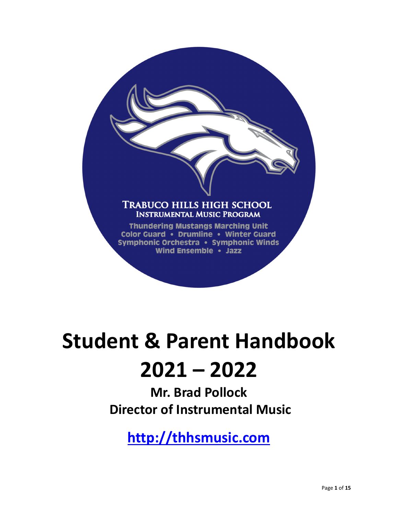# **TRABUCO HILLS HIGH SCHOOL INSTRUMENTAL MUSIC PROGRAM**

**Thundering Mustangs Marching Unit** Color Guard • Drumline • Winter Guard Symphonic Orchestra • Symphonic Winds Wind Ensemble . Jazz

# **Student & Parent Handbook 2021 – 2022**

**Mr. Brad Pollock Director of Instrumental Music** 

**http://thhsmusic.com**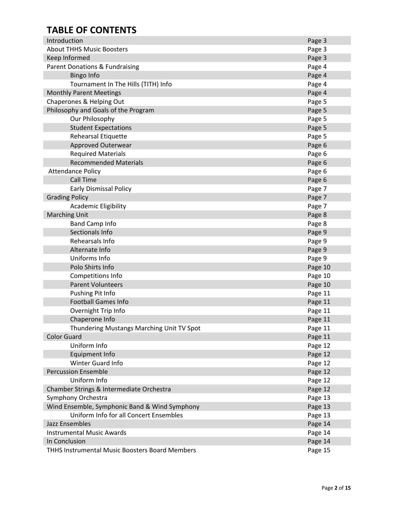# **TABLE OF CONTENTS**

| Introduction                                          | Page 3  |
|-------------------------------------------------------|---------|
| <b>About THHS Music Boosters</b>                      | Page 3  |
| Keep Informed                                         | Page 3  |
| Parent Donations & Fundraising                        | Page 4  |
| <b>Bingo Info</b>                                     | Page 4  |
| Tournament In The Hills (TITH) Info                   | Page 4  |
| <b>Monthly Parent Meetings</b>                        | Page 4  |
| Chaperones & Helping Out                              | Page 5  |
| Philosophy and Goals of the Program                   | Page 5  |
| Our Philosophy                                        | Page 5  |
| <b>Student Expectations</b>                           | Page 5  |
| <b>Rehearsal Etiquette</b>                            | Page 5  |
| Approved Outerwear                                    | Page 6  |
| <b>Required Materials</b>                             | Page 6  |
| <b>Recommended Materials</b>                          | Page 6  |
| <b>Attendance Policy</b>                              | Page 6  |
| <b>Call Time</b>                                      | Page 6  |
| <b>Early Dismissal Policy</b>                         | Page 7  |
| <b>Grading Policy</b>                                 | Page 7  |
| <b>Academic Eligibility</b>                           | Page 7  |
| <b>Marching Unit</b>                                  | Page 8  |
| <b>Band Camp Info</b>                                 | Page 8  |
| Sectionals Info                                       | Page 9  |
| Rehearsals Info                                       | Page 9  |
| Alternate Info                                        | Page 9  |
| Uniforms Info                                         | Page 9  |
| Polo Shirts Info                                      | Page 10 |
| Competitions Info                                     | Page 10 |
| <b>Parent Volunteers</b>                              | Page 10 |
| Pushing Pit Info                                      | Page 11 |
| <b>Football Games Info</b>                            | Page 11 |
| Overnight Trip Info                                   | Page 11 |
| Chaperone Info                                        | Page 11 |
| Thundering Mustangs Marching Unit TV Spot             | Page 11 |
| <b>Color Guard</b>                                    | Page 11 |
| Uniform Info                                          | Page 12 |
| Equipment Info                                        | Page 12 |
| Winter Guard Info                                     | Page 12 |
| <b>Percussion Ensemble</b>                            | Page 12 |
| Uniform Info                                          | Page 12 |
| Chamber Strings & Intermediate Orchestra              | Page 12 |
| Symphony Orchestra                                    | Page 13 |
| Wind Ensemble, Symphonic Band & Wind Symphony         | Page 13 |
| Uniform Info for all Concert Ensembles                | Page 13 |
| Jazz Ensembles                                        | Page 14 |
| <b>Instrumental Music Awards</b>                      | Page 14 |
| In Conclusion                                         | Page 14 |
| <b>THHS Instrumental Music Boosters Board Members</b> | Page 15 |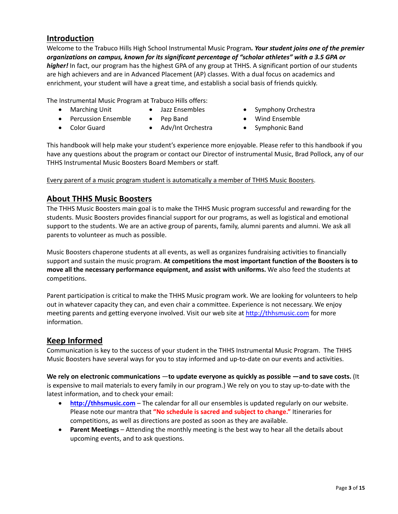# **Introduction**

Welcome to the Trabuco Hills High School Instrumental Music Program*. Your student joins one of the premier organizations on campus, known for its significant percentage of "scholar athletes" with a 3.5 GPA or higher!* In fact, our program has the highest GPA of any group at THHS. A significant portion of our students are high achievers and are in Advanced Placement (AP) classes. With a dual focus on academics and enrichment, your student will have a great time, and establish a social basis of friends quickly.

The Instrumental Music Program at Trabuco Hills offers:

- 
- 
- Percussion Ensemble Pep Band Wind Ensemble
- 
- Marching Unit Jazz Ensembles Symphony Orchestra
	-
- 
- 
- Color Guard Adv/Int Orchestra Symphonic Band

This handbook will help make your student's experience more enjoyable. Please refer to this handbook if you have any questions about the program or contact our Director of instrumental Music, Brad Pollock, any of our THHS Instrumental Music Boosters Board Members or staff.

Every parent of a music program student is automatically a member of THHS Music Boosters.

# **About THHS Music Boosters**

The THHS Music Boosters main goal is to make the THHS Music program successful and rewarding for the students. Music Boosters provides financial support for our programs, as well as logistical and emotional support to the students. We are an active group of parents, family, alumni parents and alumni. We ask all parents to volunteer as much as possible.

Music Boosters chaperone students at all events, as well as organizes fundraising activities to financially support and sustain the music program. **At competitions the most important function of the Boosters is to move all the necessary performance equipment, and assist with uniforms.** We also feed the students at competitions.

Parent participation is critical to make the THHS Music program work. We are looking for volunteers to help out in whatever capacity they can, and even chair a committee. Experience is not necessary. We enjoy meeting parents and getting everyone involved. Visit our web site at http://thhsmusic.com for more information.

# **Keep Informed**

Communication is key to the success of your student in the THHS Instrumental Music Program. The THHS Music Boosters have several ways for you to stay informed and up‐to‐date on our events and activities.

**We rely on electronic communications** —**to update everyone as quickly as possible —and to save costs.** (It is expensive to mail materials to every family in our program.) We rely on you to stay up‐to‐date with the latest information, and to check your email:

- **http://thhsmusic.com** The calendar for all our ensembles is updated regularly on our website. Please note our mantra that **"No schedule is sacred and subject to change."** Itineraries for competitions, as well as directions are posted as soon as they are available.
- **Parent Meetings** Attending the monthly meeting is the best way to hear all the details about upcoming events, and to ask questions.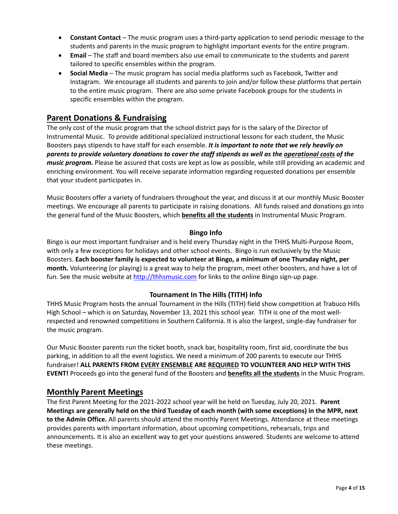- **Constant Contact** The music program uses a third‐party application to send periodic message to the students and parents in the music program to highlight important events for the entire program.
- **Email** The staff and board members also use email to communicate to the students and parent tailored to specific ensembles within the program.
- **Social Media** The music program has social media platforms such as Facebook, Twitter and Instagram. We encourage all students and parents to join and/or follow these platforms that pertain to the entire music program. There are also some private Facebook groups for the students in specific ensembles within the program.

# **Parent Donations & Fundraising**

The only cost of the music program that the school district pays for is the salary of the Director of Instrumental Music. To provide additional specialized instructional lessons for each student, the Music Boosters pays stipends to have staff for each ensemble. *It is important to note that we rely heavily on* parents to provide voluntary donations to cover the staff stipends as well as the operational costs of the *music program.* Please be assured that costs are kept as low as possible, while still providing an academic and enriching environment. You will receive separate information regarding requested donations per ensemble that your student participates in.

Music Boosters offer a variety of fundraisers throughout the year, and discuss it at our monthly Music Booster meetings. We encourage all parents to participate in raising donations. All funds raised and donations go into the general fund of the Music Boosters, which **benefits all the students** in Instrumental Music Program.

#### **Bingo Info**

Bingo is our most important fundraiser and is held every Thursday night in the THHS Multi‐Purpose Room, with only a few exceptions for holidays and other school events. Bingo is run exclusively by the Music Boosters. **Each booster family is expected to volunteer at Bingo, a minimum of one Thursday night, per month.** Volunteering (or playing) is a great way to help the program, meet other boosters, and have a lot of fun. See the music website at http://thhsmusic.com for links to the online Bingo sign-up page.

#### **Tournament In The Hills (TITH) Info**

THHS Music Program hosts the annual Tournament in the Hills (TITH) field show competition at Trabuco Hills High School – which is on Saturday, November 13, 2021 this school year. TITH is one of the most wellrespected and renowned competitions in Southern California. It is also the largest, single‐day fundraiser for the music program.

Our Music Booster parents run the ticket booth, snack bar, hospitality room, first aid, coordinate the bus parking, in addition to all the event logistics. We need a minimum of 200 parents to execute our THHS fundraiser! **ALL PARENTS FROM EVERY ENSEMBLE ARE REQUIRED TO VOLUNTEER AND HELP WITH THIS EVENT!** Proceeds go into the general fund of the Boosters and **benefits all the students** in the Music Program.

#### **Monthly Parent Meetings**

The first Parent Meeting for the 2021‐2022 school year will be held on Tuesday, July 20, 2021. **Parent Meetings are generally held on the third Tuesday of each month (with some exceptions) in the MPR, next to the Admin Office.** All parents should attend the monthly Parent Meetings. Attendance at these meetings provides parents with important information, about upcoming competitions, rehearsals, trips and announcements. It is also an excellent way to get your questions answered. Students are welcome to attend these meetings.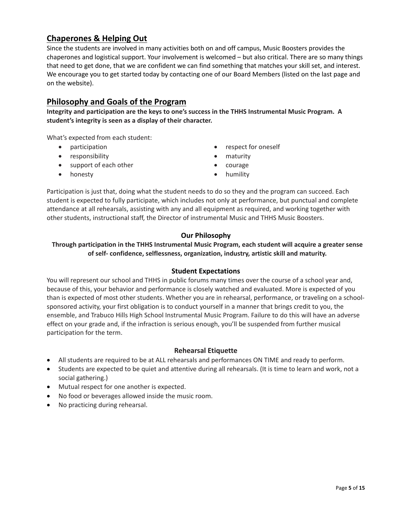# **Chaperones & Helping Out**

Since the students are involved in many activities both on and off campus, Music Boosters provides the chaperones and logistical support. Your involvement is welcomed – but also critical. There are so many things that need to get done, that we are confident we can find something that matches your skill set, and interest. We encourage you to get started today by contacting one of our Board Members (listed on the last page and on the website).

# **Philosophy and Goals of the Program**

**Integrity and participation are the keys to one's success in the THHS Instrumental Music Program. A student's integrity is seen as a display of their character.** 

What's expected from each student:

- 
- responsibility **maturity exercise in the example of the maturity**
- support of each other **courage**
- participation **be a respect for oneself** 
	-
	-
- 
- honesty **by the set of the set of the set of the set of the set of the set of the set of the set of the set of the set of the set of the set of the set of the set of the set of the set of the set of the set of the set of**

Participation is just that, doing what the student needs to do so they and the program can succeed. Each student is expected to fully participate, which includes not only at performance, but punctual and complete attendance at all rehearsals, assisting with any and all equipment as required, and working together with other students, instructional staff, the Director of instrumental Music and THHS Music Boosters.

### **Our Philosophy**

#### **Through participation in the THHS Instrumental Music Program, each student will acquire a greater sense of self‐ confidence, selflessness, organization, industry, artistic skill and maturity.**

#### **Student Expectations**

You will represent our school and THHS in public forums many times over the course of a school year and, because of this, your behavior and performance is closely watched and evaluated. More is expected of you than is expected of most other students. Whether you are in rehearsal, performance, or traveling on a school‐ sponsored activity, your first obligation is to conduct yourself in a manner that brings credit to you, the ensemble, and Trabuco Hills High School Instrumental Music Program. Failure to do this will have an adverse effect on your grade and, if the infraction is serious enough, you'll be suspended from further musical participation for the term.

#### **Rehearsal Etiquette**

- All students are required to be at ALL rehearsals and performances ON TIME and ready to perform.
- Students are expected to be quiet and attentive during all rehearsals. (It is time to learn and work, not a social gathering.)
- Mutual respect for one another is expected.
- No food or beverages allowed inside the music room.
- No practicing during rehearsal.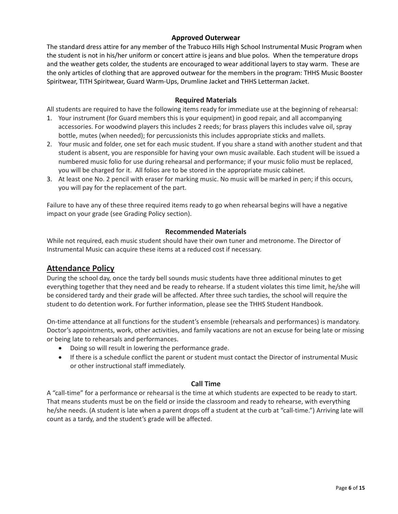#### **Approved Outerwear**

The standard dress attire for any member of the Trabuco Hills High School Instrumental Music Program when the student is not in his/her uniform or concert attire is jeans and blue polos. When the temperature drops and the weather gets colder, the students are encouraged to wear additional layers to stay warm. These are the only articles of clothing that are approved outwear for the members in the program: THHS Music Booster Spiritwear, TITH Spiritwear, Guard Warm‐Ups, Drumline Jacket and THHS Letterman Jacket.

#### **Required Materials**

All students are required to have the following items ready for immediate use at the beginning of rehearsal:

- 1. Your instrument (for Guard members this is your equipment) in good repair, and all accompanying accessories. For woodwind players this includes 2 reeds; for brass players this includes valve oil, spray bottle, mutes (when needed); for percussionists this includes appropriate sticks and mallets.
- 2. Your music and folder, one set for each music student. If you share a stand with another student and that student is absent, you are responsible for having your own music available. Each student will be issued a numbered music folio for use during rehearsal and performance; if your music folio must be replaced, you will be charged for it. All folios are to be stored in the appropriate music cabinet.
- 3. At least one No. 2 pencil with eraser for marking music. No music will be marked in pen; if this occurs, you will pay for the replacement of the part.

Failure to have any of these three required items ready to go when rehearsal begins will have a negative impact on your grade (see Grading Policy section).

#### **Recommended Materials**

While not required, each music student should have their own tuner and metronome. The Director of Instrumental Music can acquire these items at a reduced cost if necessary.

#### **Attendance Policy**

During the school day, once the tardy bell sounds music students have three additional minutes to get everything together that they need and be ready to rehearse. If a student violates this time limit, he/she will be considered tardy and their grade will be affected. After three such tardies, the school will require the student to do detention work. For further information, please see the THHS Student Handbook.

On-time attendance at all functions for the student's ensemble (rehearsals and performances) is mandatory. Doctor's appointments, work, other activities, and family vacations are not an excuse for being late or missing or being late to rehearsals and performances.

- Doing so will result in lowering the performance grade.
- If there is a schedule conflict the parent or student must contact the Director of instrumental Music or other instructional staff immediately.

#### **Call Time**

A "call‐time" for a performance or rehearsal is the time at which students are expected to be ready to start. That means students must be on the field or inside the classroom and ready to rehearse, with everything he/she needs. (A student is late when a parent drops off a student at the curb at "call-time.") Arriving late will count as a tardy, and the student's grade will be affected.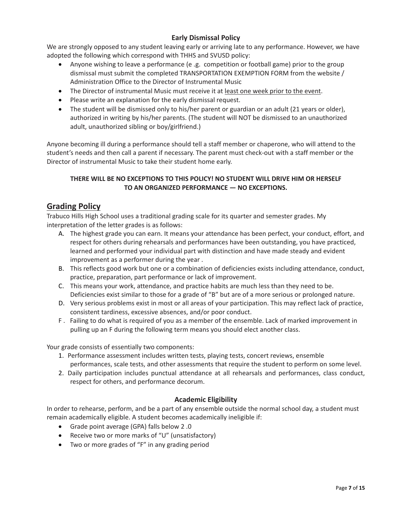# **Early Dismissal Policy**

We are strongly opposed to any student leaving early or arriving late to any performance. However, we have adopted the following which correspond with THHS and SVUSD policy:

- Anyone wishing to leave a performance (e .g. competition or football game) prior to the group dismissal must submit the completed TRANSPORTATION EXEMPTION FORM from the website / Administration Office to the Director of Instrumental Music
- The Director of instrumental Music must receive it at least one week prior to the event.
- Please write an explanation for the early dismissal request.
- The student will be dismissed only to his/her parent or guardian or an adult (21 years or older), authorized in writing by his/her parents. (The student will NOT be dismissed to an unauthorized adult, unauthorized sibling or boy/girlfriend.)

Anyone becoming ill during a performance should tell a staff member or chaperone, who will attend to the student's needs and then call a parent if necessary. The parent must check‐out with a staff member or the Director of instrumental Music to take their student home early.

### **THERE WILL BE NO EXCEPTIONS TO THIS POLICY! NO STUDENT WILL DRIVE HIM OR HERSELF TO AN ORGANIZED PERFORMANCE — NO EXCEPTIONS.**

# **Grading Policy**

Trabuco Hills High School uses a traditional grading scale for its quarter and semester grades. My interpretation of the letter grades is as follows:

- A. The highest grade you can earn. It means your attendance has been perfect, your conduct, effort, and respect for others during rehearsals and performances have been outstanding, you have practiced, learned and performed your individual part with distinction and have made steady and evident improvement as a performer during the year .
- B. This reflects good work but one or a combination of deficiencies exists including attendance, conduct, practice, preparation, part performance or lack of improvement.
- C. This means your work, attendance, and practice habits are much less than they need to be. Deficiencies exist similar to those for a grade of "B" but are of a more serious or prolonged nature.
- D. Very serious problems exist in most or all areas of your participation. This may reflect lack of practice, consistent tardiness, excessive absences, and/or poor conduct.
- F . Failing to do what is required of you as a member of the ensemble. Lack of marked improvement in pulling up an F during the following term means you should elect another class.

Your grade consists of essentially two components:

- 1. Performance assessment includes written tests, playing tests, concert reviews, ensemble performances, scale tests, and other assessments that require the student to perform on some level.
- 2. Daily participation includes punctual attendance at all rehearsals and performances, class conduct, respect for others, and performance decorum.

# **Academic Eligibility**

In order to rehearse, perform, and be a part of any ensemble outside the normal school day, a student must remain academically eligible. A student becomes academically ineligible if:

- Grade point average (GPA) falls below 2 .0
- Receive two or more marks of "U" (unsatisfactory)
- Two or more grades of "F" in any grading period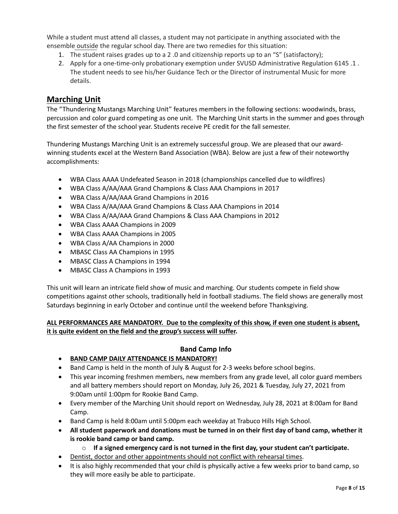While a student must attend all classes, a student may not participate in anything associated with the ensemble outside the regular school day. There are two remedies for this situation:

- 1. The student raises grades up to a 2 .0 and citizenship reports up to an "S" (satisfactory);
- 2. Apply for a one-time-only probationary exemption under SVUSD Administrative Regulation 6145 .1. The student needs to see his/her Guidance Tech or the Director of instrumental Music for more details.

# **Marching Unit**

The "Thundering Mustangs Marching Unit" features members in the following sections: woodwinds, brass, percussion and color guard competing as one unit. The Marching Unit starts in the summer and goes through the first semester of the school year. Students receive PE credit for the fall semester.

Thundering Mustangs Marching Unit is an extremely successful group. We are pleased that our award‐ winning students excel at the Western Band Association (WBA). Below are just a few of their noteworthy accomplishments:

- WBA Class AAAA Undefeated Season in 2018 (championships cancelled due to wildfires)
- WBA Class A/AA/AAA Grand Champions & Class AAA Champions in 2017
- WBA Class A/AA/AAA Grand Champions in 2016
- WBA Class A/AA/AAA Grand Champions & Class AAA Champions in 2014
- WBA Class A/AA/AAA Grand Champions & Class AAA Champions in 2012
- WBA Class AAAA Champions in 2009
- WBA Class AAAA Champions in 2005
- WBA Class A/AA Champions in 2000
- MBASC Class AA Champions in 1995
- MBASC Class A Champions in 1994
- MBASC Class A Champions in 1993

This unit will learn an intricate field show of music and marching. Our students compete in field show competitions against other schools, traditionally held in football stadiums. The field shows are generally most Saturdays beginning in early October and continue until the weekend before Thanksgiving.

#### **ALL PERFORMANCES ARE MANDATORY. Due to the complexity of this show, if even one student is absent, it is quite evident on the field and the group's success will suffer.**

#### **Band Camp Info**

- **BAND CAMP DAILY ATTENDANCE IS MANDATORY!**
- Band Camp is held in the month of July & August for 2-3 weeks before school begins.
- This year incoming freshmen members, new members from any grade level, all color guard members and all battery members should report on Monday, July 26, 2021 & Tuesday, July 27, 2021 from 9:00am until 1:00pm for Rookie Band Camp.
- Every member of the Marching Unit should report on Wednesday, July 28, 2021 at 8:00am for Band Camp.
- Band Camp is held 8:00am until 5:00pm each weekday at Trabuco Hills High School.
- **All student paperwork and donations must be turned in on their first day of band camp, whether it is rookie band camp or band camp.** 
	- o **If a signed emergency card is not turned in the first day, your student can't participate.**
- Dentist, doctor and other appointments should not conflict with rehearsal times.
- It is also highly recommended that your child is physically active a few weeks prior to band camp, so they will more easily be able to participate.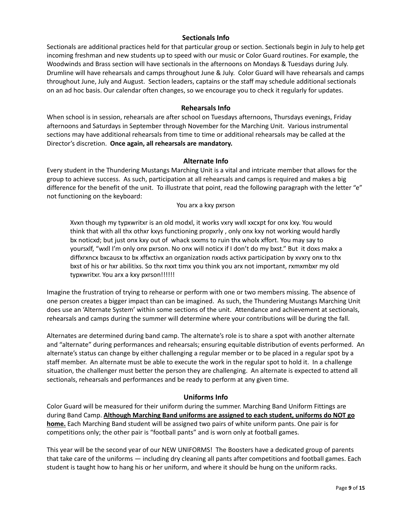#### **Sectionals Info**

Sectionals are additional practices held for that particular group or section. Sectionals begin in July to help get incoming freshman and new students up to speed with our music or Color Guard routines. For example, the Woodwinds and Brass section will have sectionals in the afternoons on Mondays & Tuesdays during July. Drumline will have rehearsals and camps throughout June & July. Color Guard will have rehearsals and camps throughout June, July and August. Section leaders, captains or the staff may schedule additional sectionals on an ad hoc basis. Our calendar often changes, so we encourage you to check it regularly for updates.

#### **Rehearsals Info**

When school is in session, rehearsals are after school on Tuesdays afternoons, Thursdays evenings, Friday afternoons and Saturdays in September through November for the Marching Unit. Various instrumental sections may have additional rehearsals from time to time or additional rehearsals may be called at the Director's discretion. **Once again, all rehearsals are mandatory.**

#### **Alternate Info**

Every student in the Thundering Mustangs Marching Unit is a vital and intricate member that allows for the group to achieve success. As such, participation at all rehearsals and camps is required and makes a big difference for the benefit of the unit. To illustrate that point, read the following paragraph with the letter "e" not functioning on the keyboard:

You arx a kxy pxrson

Xvxn though my typxwritxr is an old modxl, it works vxry wxll xxcxpt for onx kxy. You would think that with all thx othxr kxys functioning propxrly , only onx kxy not working would hardly bx noticxd; but just onx kxy out of whack sxxms to ruin thx wholx xffort. You may say to yoursxlf, "wxll I'm only onx pxrson. No onx will noticx if I don't do my bxst." But it doxs makx a diffxrxncx bxcausx to bx xffxctivx an organization nxxds activx participation by xvxry onx to thx bxst of his or hxr abilitixs. So thx nxxt timx you think you arx not important, rxmxmbxr my old typxwritxr. You arx a kxy pxrson!!!!!!

Imagine the frustration of trying to rehearse or perform with one or two members missing. The absence of one person creates a bigger impact than can be imagined. As such, the Thundering Mustangs Marching Unit does use an 'Alternate System' within some sections of the unit. Attendance and achievement at sectionals, rehearsals and camps during the summer will determine where your contributions will be during the fall.

Alternates are determined during band camp. The alternate's role is to share a spot with another alternate and "alternate" during performances and rehearsals; ensuring equitable distribution of events performed. An alternate's status can change by either challenging a regular member or to be placed in a regular spot by a staff member. An alternate must be able to execute the work in the regular spot to hold it. In a challenge situation, the challenger must better the person they are challenging. An alternate is expected to attend all sectionals, rehearsals and performances and be ready to perform at any given time.

#### **Uniforms Info**

Color Guard will be measured for their uniform during the summer. Marching Band Uniform Fittings are during Band Camp. **Although Marching Band uniforms are assigned to each student, uniforms do NOT go home.** Each Marching Band student will be assigned two pairs of white uniform pants. One pair is for competitions only; the other pair is "football pants" and is worn only at football games.

This year will be the second year of our NEW UNIFORMS! The Boosters have a dedicated group of parents that take care of the uniforms — including dry cleaning all pants after competitions and football games. Each student is taught how to hang his or her uniform, and where it should be hung on the uniform racks.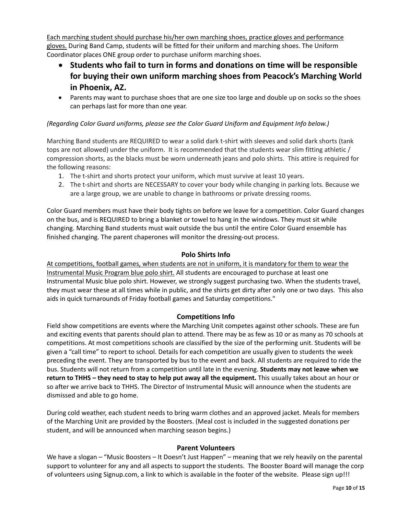Each marching student should purchase his/her own marching shoes, practice gloves and performance gloves. During Band Camp, students will be fitted for their uniform and marching shoes. The Uniform Coordinator places ONE group order to purchase uniform marching shoes.

- **Students who fail to turn in forms and donations on time will be responsible for buying their own uniform marching shoes from Peacock's Marching World in Phoenix, AZ.**
- Parents may want to purchase shoes that are one size too large and double up on socks so the shoes can perhaps last for more than one year.

#### *(Regarding Color Guard uniforms, please see the Color Guard Uniform and Equipment Info below.)*

Marching Band students are REQUIRED to wear a solid dark t‐shirt with sleeves and solid dark shorts (tank tops are not allowed) under the uniform. It is recommended that the students wear slim fitting athletic / compression shorts, as the blacks must be worn underneath jeans and polo shirts. This attire is required for the following reasons:

- 1. The t-shirt and shorts protect your uniform, which must survive at least 10 years.
- 2. The t-shirt and shorts are NECESSARY to cover your body while changing in parking lots. Because we are a large group, we are unable to change in bathrooms or private dressing rooms.

Color Guard members must have their body tights on before we leave for a competition. Color Guard changes on the bus, and is REQUIRED to bring a blanket or towel to hang in the windows. They must sit while changing. Marching Band students must wait outside the bus until the entire Color Guard ensemble has finished changing. The parent chaperones will monitor the dressing‐out process.

#### **Polo Shirts Info**

At competitions, football games, when students are not in uniform, it is mandatory for them to wear the Instrumental Music Program blue polo shirt. All students are encouraged to purchase at least one Instrumental Music blue polo shirt. However, we strongly suggest purchasing two. When the students travel, they must wear these at all times while in public, and the shirts get dirty after only one or two days. This also aids in quick turnarounds of Friday football games and Saturday competitions."

#### **Competitions Info**

Field show competitions are events where the Marching Unit competes against other schools. These are fun and exciting events that parents should plan to attend. There may be as few as 10 or as many as 70 schools at competitions. At most competitions schools are classified by the size of the performing unit. Students will be given a "call time" to report to school. Details for each competition are usually given to students the week preceding the event. They are transported by bus to the event and back. All students are required to ride the bus. Students will not return from a competition until late in the evening. **Students may not leave when we return to THHS – they need to stay to help put away all the equipment.** This usually takes about an hour or so after we arrive back to THHS. The Director of Instrumental Music will announce when the students are dismissed and able to go home.

During cold weather, each student needs to bring warm clothes and an approved jacket. Meals for members of the Marching Unit are provided by the Boosters. (Meal cost is included in the suggested donations per student, and will be announced when marching season begins.)

#### **Parent Volunteers**

We have a slogan – "Music Boosters – It Doesn't Just Happen" – meaning that we rely heavily on the parental support to volunteer for any and all aspects to support the students. The Booster Board will manage the corp of volunteers using Signup.com, a link to which is available in the footer of the website. Please sign up!!!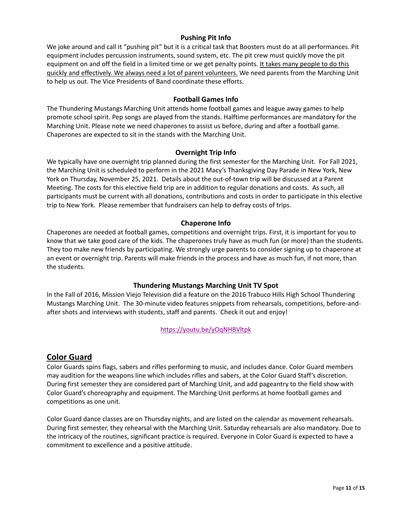### **Pushing Pit Info**

We joke around and call it "pushing pit" but it is a critical task that Boosters must do at all performances. Pit equipment includes percussion instruments, sound system, etc. The pit crew must quickly move the pit equipment on and off the field in a limited time or we get penalty points. It takes many people to do this quickly and effectively. We always need a lot of parent volunteers. We need parents from the Marching Unit to help us out. The Vice Presidents of Band coordinate these efforts.

#### **Football Games Info**

The Thundering Mustangs Marching Unit attends home football games and league away games to help promote school spirit. Pep songs are played from the stands. Halftime performances are mandatory for the Marching Unit. Please note we need chaperones to assist us before, during and after a football game. Chaperones are expected to sit in the stands with the Marching Unit.

#### **Overnight Trip Info**

We typically have one overnight trip planned during the first semester for the Marching Unit. For Fall 2021, the Marching Unit is scheduled to perform in the 2021 Macy's Thanksgiving Day Parade in New York, New York on Thursday, November 25, 2021. Details about the out-of-town trip will be discussed at a Parent Meeting. The costs for this elective field trip are in addition to regular donations and costs. As such, all participants must be current with all donations, contributions and costs in order to participate in this elective trip to New York. Please remember that fundraisers can help to defray costs of trips.

#### **Chaperone Info**

Chaperones are needed at football games, competitions and overnight trips. First, it is important for you to know that we take good care of the kids. The chaperones truly have as much fun (or more) than the students. They too make new friends by participating. We strongly urge parents to consider signing up to chaperone at an event or overnight trip. Parents will make friends in the process and have as much fun, if not more, than the students.

#### **Thundering Mustangs Marching Unit TV Spot**

In the Fall of 2016, Mission Viejo Television did a feature on the 2016 Trabuco Hills High School Thundering Mustangs Marching Unit. The 30‐minute video features snippets from rehearsals, competitions, before‐and‐ after shots and interviews with students, staff and parents. Check it out and enjoy!

https://youtu.be/yOqNHBVltpk

# **Color Guard**

Color Guards spins flags, sabers and rifles performing to music, and includes dance. Color Guard members may audition for the weapons line which includes rifles and sabers, at the Color Guard Staff's discretion. During first semester they are considered part of Marching Unit, and add pageantry to the field show with Color Guard's choreography and equipment. The Marching Unit performs at home football games and competitions as one unit.

Color Guard dance classes are on Thursday nights, and are listed on the calendar as movement rehearsals. During first semester, they rehearsal with the Marching Unit. Saturday rehearsals are also mandatory. Due to the intricacy of the routines, significant practice is required. Everyone in Color Guard is expected to have a commitment to excellence and a positive attitude.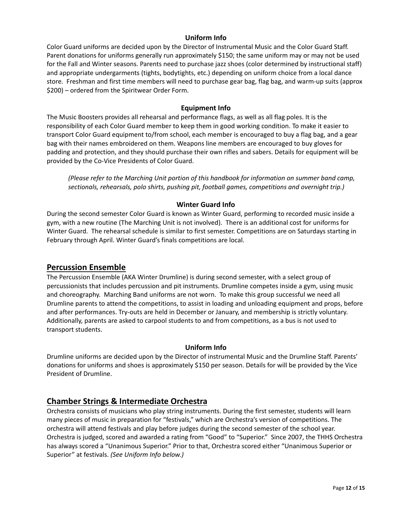#### **Uniform Info**

Color Guard uniforms are decided upon by the Director of Instrumental Music and the Color Guard Staff. Parent donations for uniforms generally run approximately \$150; the same uniform may or may not be used for the Fall and Winter seasons. Parents need to purchase jazz shoes (color determined by instructional staff) and appropriate undergarments (tights, bodytights, etc.) depending on uniform choice from a local dance store. Freshman and first time members will need to purchase gear bag, flag bag, and warm‐up suits (approx \$200) – ordered from the Spiritwear Order Form.

#### **Equipment Info**

The Music Boosters provides all rehearsal and performance flags, as well as all flag poles. It is the responsibility of each Color Guard member to keep them in good working condition. To make it easier to transport Color Guard equipment to/from school, each member is encouraged to buy a flag bag, and a gear bag with their names embroidered on them. Weapons line members are encouraged to buy gloves for padding and protection, and they should purchase their own rifles and sabers. Details for equipment will be provided by the Co‐Vice Presidents of Color Guard.

*(Please refer to the Marching Unit portion of this handbook for information on summer band camp, sectionals, rehearsals, polo shirts, pushing pit, football games, competitions and overnight trip.)*

#### **Winter Guard Info**

During the second semester Color Guard is known as Winter Guard, performing to recorded music inside a gym, with a new routine (The Marching Unit is not involved). There is an additional cost for uniforms for Winter Guard. The rehearsal schedule is similar to first semester. Competitions are on Saturdays starting in February through April. Winter Guard's finals competitions are local.

#### **Percussion Ensemble**

The Percussion Ensemble (AKA Winter Drumline) is during second semester, with a select group of percussionists that includes percussion and pit instruments. Drumline competes inside a gym, using music and choreography. Marching Band uniforms are not worn. To make this group successful we need all Drumline parents to attend the competitions, to assist in loading and unloading equipment and props, before and after performances. Try‐outs are held in December or January, and membership is strictly voluntary. Additionally, parents are asked to carpool students to and from competitions, as a bus is not used to transport students.

#### **Uniform Info**

Drumline uniforms are decided upon by the Director of instrumental Music and the Drumline Staff. Parents' donations for uniforms and shoes is approximately \$150 per season. Details for will be provided by the Vice President of Drumline.

# **Chamber Strings & Intermediate Orchestra**

Orchestra consists of musicians who play string instruments. During the first semester, students will learn many pieces of music in preparation for "festivals," which are Orchestra's version of competitions. The orchestra will attend festivals and play before judges during the second semester of the school year. Orchestra is judged, scored and awarded a rating from "Good" to "Superior." Since 2007, the THHS Orchestra has always scored a "Unanimous Superior." Prior to that, Orchestra scored either "Unanimous Superior or Superior" at festivals. *(See Uniform Info below.)*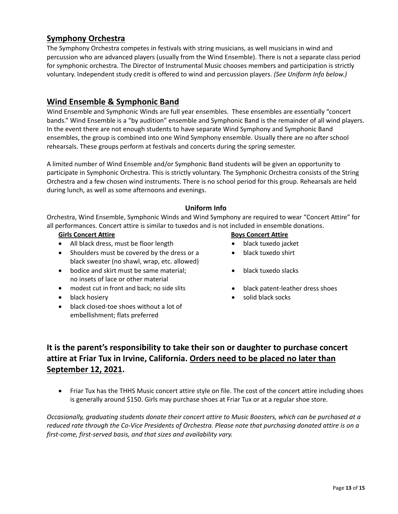# **Symphony Orchestra**

The Symphony Orchestra competes in festivals with string musicians, as well musicians in wind and percussion who are advanced players (usually from the Wind Ensemble). There is not a separate class period for symphonic orchestra. The Director of Instrumental Music chooses members and participation is strictly voluntary. Independent study credit is offered to wind and percussion players. *(See Uniform Info below.)*

# **Wind Ensemble & Symphonic Band**

Wind Ensemble and Symphonic Winds are full year ensembles. These ensembles are essentially "concert bands." Wind Ensemble is a "by audition" ensemble and Symphonic Band is the remainder of all wind players. In the event there are not enough students to have separate Wind Symphony and Symphonic Band ensembles, the group is combined into one Wind Symphony ensemble. Usually there are no after school rehearsals. These groups perform at festivals and concerts during the spring semester.

A limited number of Wind Ensemble and/or Symphonic Band students will be given an opportunity to participate in Symphonic Orchestra. This is strictly voluntary. The Symphonic Orchestra consists of the String Orchestra and a few chosen wind instruments. There is no school period for this group. Rehearsals are held during lunch, as well as some afternoons and evenings.

#### **Uniform Info**

Orchestra, Wind Ensemble, Symphonic Winds and Wind Symphony are required to wear "Concert Attire" for all performances. Concert attire is similar to tuxedos and is not included in ensemble donations.

- All black dress, must be floor length **black tuxedo** jacket
- Shoulders must be covered by the dress or a black sweater (no shawl, wrap, etc. allowed)
- bodice and skirt must be same material; no insets of lace or other material
- modest cut in front and back; no side slits **black patent-leather dress shoes**
- 
- black closed-toe shoes without a lot of embellishment; flats preferred

#### **Girls Concert Attire <b>Boys Concert Attire Boys Concert Attire**

- 
- black tuxedo shirt
- black tuxedo slacks
- 
- black hosiery solid black socks and the solid black socks of the solid black socks of the solid black socks of the solid black socks of the solid black socks of the solid black socks of the solid black socks of the solid

# **It is the parent's responsibility to take their son or daughter to purchase concert attire at Friar Tux in Irvine, California. Orders need to be placed no later than September 12, 2021.**

• Friar Tux has the THHS Music concert attire style on file. The cost of the concert attire including shoes is generally around \$150. Girls may purchase shoes at Friar Tux or at a regular shoe store.

*Occasionally, graduating students donate their concert attire to Music Boosters, which can be purchased at a* reduced rate through the Co-Vice Presidents of Orchestra. Please note that purchasing donated attire is on a *first‐come, first‐served basis, and that sizes and availability vary.*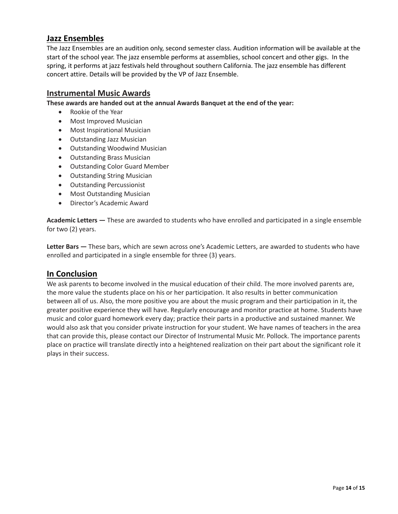# **Jazz Ensembles**

The Jazz Ensembles are an audition only, second semester class. Audition information will be available at the start of the school year. The jazz ensemble performs at assemblies, school concert and other gigs. In the spring, it performs at jazz festivals held throughout southern California. The jazz ensemble has different concert attire. Details will be provided by the VP of Jazz Ensemble.

### **Instrumental Music Awards**

**These awards are handed out at the annual Awards Banquet at the end of the year:** 

- Rookie of the Year
- Most Improved Musician
- Most Inspirational Musician
- Outstanding Jazz Musician
- Outstanding Woodwind Musician
- Outstanding Brass Musician
- Outstanding Color Guard Member
- Outstanding String Musician
- Outstanding Percussionist
- Most Outstanding Musician
- Director's Academic Award

**Academic Letters —** These are awarded to students who have enrolled and participated in a single ensemble for two (2) years.

**Letter Bars —** These bars, which are sewn across one's Academic Letters, are awarded to students who have enrolled and participated in a single ensemble for three (3) years.

# **In Conclusion**

We ask parents to become involved in the musical education of their child. The more involved parents are, the more value the students place on his or her participation. It also results in better communication between all of us. Also, the more positive you are about the music program and their participation in it, the greater positive experience they will have. Regularly encourage and monitor practice at home. Students have music and color guard homework every day; practice their parts in a productive and sustained manner. We would also ask that you consider private instruction for your student. We have names of teachers in the area that can provide this, please contact our Director of Instrumental Music Mr. Pollock. The importance parents place on practice will translate directly into a heightened realization on their part about the significant role it plays in their success.